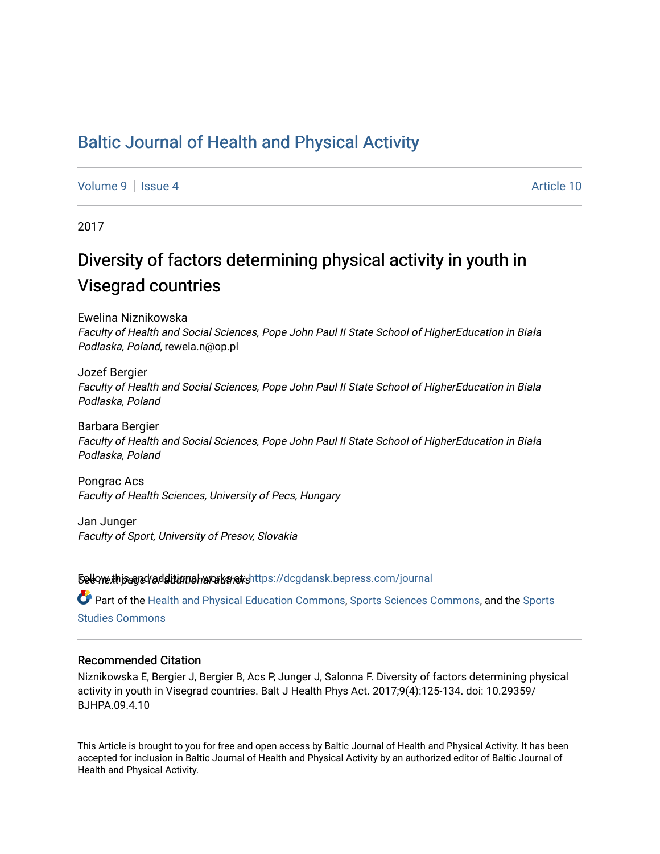## [Baltic Journal of Health and Physical Activity](https://dcgdansk.bepress.com/journal)

[Volume 9](https://dcgdansk.bepress.com/journal/vol9) | [Issue 4](https://dcgdansk.bepress.com/journal/vol9/iss4) Article 10

2017

# Diversity of factors determining physical activity in youth in Visegrad countries

Ewelina Niznikowska Faculty of Health and Social Sciences, Pope John Paul II State School of HigherEducation in Biał<sup>a</sup> Podlaska, Poland, rewela.n@op.pl

Jozef Bergier Faculty of Health and Social Sciences, Pope John Paul II State School of HigherEducation in Biala Podlaska, Poland

Barbara Bergier Faculty of Health and Social Sciences, Pope John Paul II State School of HigherEducation in Biał<sup>a</sup> Podlaska, Poland

Pongrac Acs Faculty of Health Sciences, University of Pecs, Hungary

Jan Junger Faculty of Sport, University of Presov, Slovakia

Sellow this ane diditional authors Follow this Follow this and additional sellow this and additional sellow that

Part of the [Health and Physical Education Commons](http://network.bepress.com/hgg/discipline/1327?utm_source=dcgdansk.bepress.com%2Fjournal%2Fvol9%2Fiss4%2F10&utm_medium=PDF&utm_campaign=PDFCoverPages), [Sports Sciences Commons](http://network.bepress.com/hgg/discipline/759?utm_source=dcgdansk.bepress.com%2Fjournal%2Fvol9%2Fiss4%2F10&utm_medium=PDF&utm_campaign=PDFCoverPages), and the Sports [Studies Commons](http://network.bepress.com/hgg/discipline/1198?utm_source=dcgdansk.bepress.com%2Fjournal%2Fvol9%2Fiss4%2F10&utm_medium=PDF&utm_campaign=PDFCoverPages) 

#### Recommended Citation

Niznikowska E, Bergier J, Bergier B, Acs P, Junger J, Salonna F. Diversity of factors determining physical activity in youth in Visegrad countries. Balt J Health Phys Act. 2017;9(4):125-134. doi: 10.29359/ BJHPA.09.4.10

This Article is brought to you for free and open access by Baltic Journal of Health and Physical Activity. It has been accepted for inclusion in Baltic Journal of Health and Physical Activity by an authorized editor of Baltic Journal of Health and Physical Activity.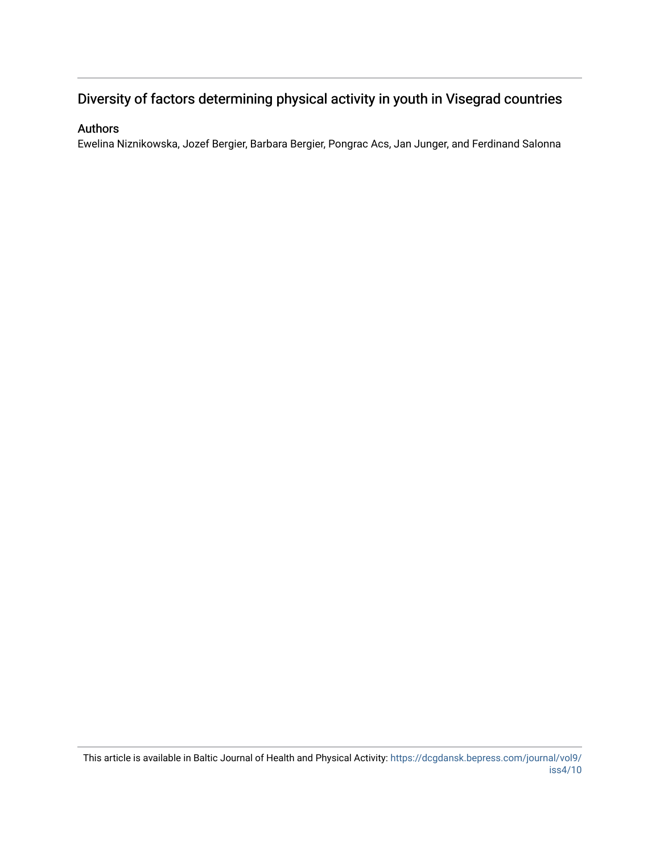## Diversity of factors determining physical activity in youth in Visegrad countries

## Authors

Ewelina Niznikowska, Jozef Bergier, Barbara Bergier, Pongrac Acs, Jan Junger, and Ferdinand Salonna

This article is available in Baltic Journal of Health and Physical Activity: [https://dcgdansk.bepress.com/journal/vol9/](https://dcgdansk.bepress.com/journal/vol9/iss4/10) [iss4/10](https://dcgdansk.bepress.com/journal/vol9/iss4/10)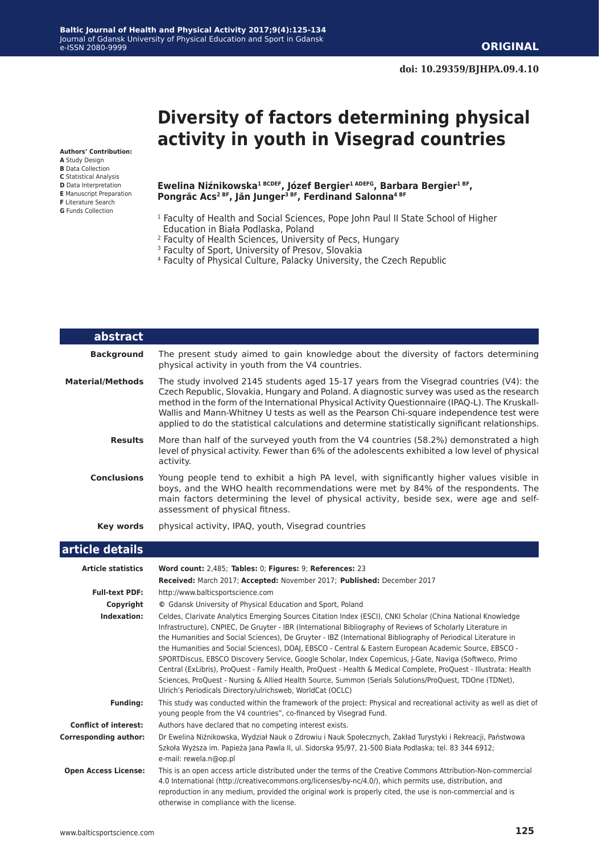# **Diversity of factors determining physical activity in youth in Visegrad countries**

**Authors' Contribution:**

- **A** Study Design
- **B** Data Collection
- **C** Statistical Analysis **D** Data Interpretation
- **E** Manuscript Preparation
- **F** Literature Search
- **G** Funds Collection

#### **Ewelina Niźnikowska1 BCDEF, Józef Bergier1 ADEFG, Barbara Bergier1 BF, Pongrăc Acs2 BF, Jăn Junger3 BF, Ferdinand Salonna4 BF**

- <sup>1</sup> Faculty of Health and Social Sciences, Pope John Paul II State School of Higher Education in Biała Podlaska, Poland
- 2 Faculty of Health Sciences, University of Pecs, Hungary
- <sup>3</sup> Faculty of Sport, University of Presov, Slovakia
- 4 Faculty of Physical Culture, Palacky University, the Czech Republic

| abstract                  |                                                                                                                                                                                                                                                                                                                                                                                                                                                                                                                                                                                                                                                                                                                                                                                                                                                               |  |  |  |  |  |  |
|---------------------------|---------------------------------------------------------------------------------------------------------------------------------------------------------------------------------------------------------------------------------------------------------------------------------------------------------------------------------------------------------------------------------------------------------------------------------------------------------------------------------------------------------------------------------------------------------------------------------------------------------------------------------------------------------------------------------------------------------------------------------------------------------------------------------------------------------------------------------------------------------------|--|--|--|--|--|--|
| <b>Background</b>         | The present study aimed to gain knowledge about the diversity of factors determining<br>physical activity in youth from the V4 countries.                                                                                                                                                                                                                                                                                                                                                                                                                                                                                                                                                                                                                                                                                                                     |  |  |  |  |  |  |
| <b>Material/Methods</b>   | The study involved 2145 students aged 15-17 years from the Visegrad countries (V4): the<br>Czech Republic, Slovakia, Hungary and Poland. A diagnostic survey was used as the research<br>method in the form of the International Physical Activity Questionnaire (IPAQ-L). The Kruskall-<br>Wallis and Mann-Whitney U tests as well as the Pearson Chi-square independence test were<br>applied to do the statistical calculations and determine statistically significant relationships.                                                                                                                                                                                                                                                                                                                                                                     |  |  |  |  |  |  |
| <b>Results</b>            | More than half of the surveyed youth from the V4 countries (58.2%) demonstrated a high<br>level of physical activity. Fewer than 6% of the adolescents exhibited a low level of physical<br>activity.                                                                                                                                                                                                                                                                                                                                                                                                                                                                                                                                                                                                                                                         |  |  |  |  |  |  |
| <b>Conclusions</b>        | Young people tend to exhibit a high PA level, with significantly higher values visible in<br>boys, and the WHO health recommendations were met by 84% of the respondents. The<br>main factors determining the level of physical activity, beside sex, were age and self-<br>assessment of physical fitness.                                                                                                                                                                                                                                                                                                                                                                                                                                                                                                                                                   |  |  |  |  |  |  |
| Key words                 | physical activity, IPAQ, youth, Visegrad countries                                                                                                                                                                                                                                                                                                                                                                                                                                                                                                                                                                                                                                                                                                                                                                                                            |  |  |  |  |  |  |
| article details           |                                                                                                                                                                                                                                                                                                                                                                                                                                                                                                                                                                                                                                                                                                                                                                                                                                                               |  |  |  |  |  |  |
| <b>Article statistics</b> | Word count: 2,485; Tables: 0; Figures: 9; References: 23<br>Received: March 2017; Accepted: November 2017; Published: December 2017                                                                                                                                                                                                                                                                                                                                                                                                                                                                                                                                                                                                                                                                                                                           |  |  |  |  |  |  |
| <b>Full-text PDF:</b>     | http://www.balticsportscience.com                                                                                                                                                                                                                                                                                                                                                                                                                                                                                                                                                                                                                                                                                                                                                                                                                             |  |  |  |  |  |  |
| Copyright                 | © Gdansk University of Physical Education and Sport, Poland                                                                                                                                                                                                                                                                                                                                                                                                                                                                                                                                                                                                                                                                                                                                                                                                   |  |  |  |  |  |  |
| Indexation:               | Celdes, Clarivate Analytics Emerging Sources Citation Index (ESCI), CNKI Scholar (China National Knowledge<br>Infrastructure), CNPIEC, De Gruyter - IBR (International Bibliography of Reviews of Scholarly Literature in<br>the Humanities and Social Sciences), De Gruyter - IBZ (International Bibliography of Periodical Literature in<br>the Humanities and Social Sciences), DOAI, EBSCO - Central & Eastern European Academic Source, EBSCO -<br>SPORTDiscus, EBSCO Discovery Service, Google Scholar, Index Copernicus, J-Gate, Naviga (Softweco, Primo<br>Central (ExLibris), ProQuest - Family Health, ProQuest - Health & Medical Complete, ProQuest - Illustrata: Health<br>Sciences, ProQuest - Nursing & Allied Health Source, Summon (Serials Solutions/ProQuest, TDOne (TDNet),<br>Ulrich's Periodicals Directory/ulrichsweb, WorldCat (OCLC) |  |  |  |  |  |  |

**Funding:** This study was conducted within the framework of the project: Physical and recreational activity as well as diet of young people from the V4 countries", co-financed by Visegrad Fund.

**Conflict of interest:** Authors have declared that no competing interest exists.

**Corresponding author:** Dr Ewelina Niźnikowska, Wydział Nauk o Zdrowiu i Nauk Społecznych, Zakład Turystyki i Rekreacji, Państwowa Szkoła Wyższa im. Papieża Jana Pawla II, ul. Sidorska 95/97, 21-500 Biała Podlaska; tel. 83 344 6912; e-mail: rewela.n@op.pl  **Open Access License:** This is an open access article distributed under the terms of the Creative Commons Attribution-Non-commercial

4.0 International (http://creativecommons.org/licenses/by-nc/4.0/), which permits use, distribution, and reproduction in any medium, provided the original work is properly cited, the use is non-commercial and is otherwise in compliance with the license.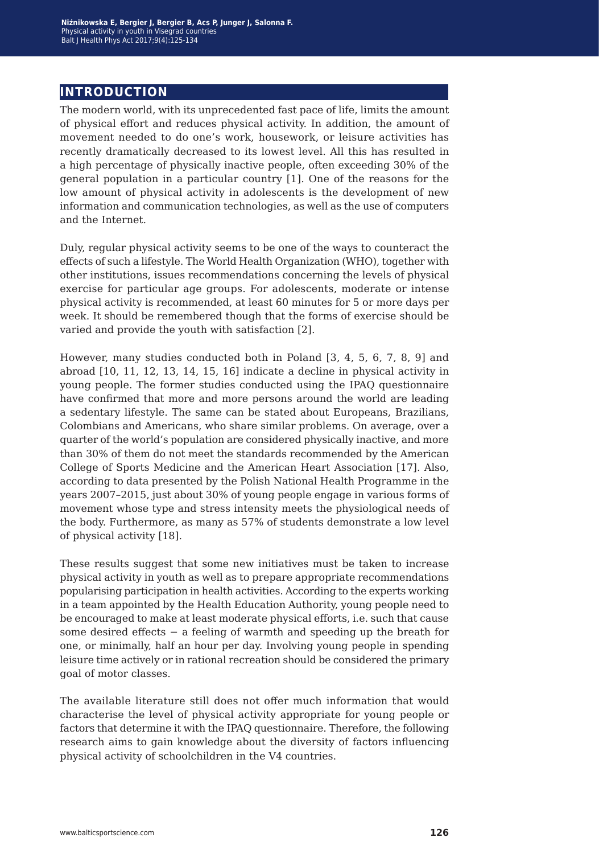## **introduction**

The modern world, with its unprecedented fast pace of life, limits the amount of physical effort and reduces physical activity. In addition, the amount of movement needed to do one's work, housework, or leisure activities has recently dramatically decreased to its lowest level. All this has resulted in a high percentage of physically inactive people, often exceeding 30% of the general population in a particular country [1]. One of the reasons for the low amount of physical activity in adolescents is the development of new information and communication technologies, as well as the use of computers and the Internet.

Duly, regular physical activity seems to be one of the ways to counteract the effects of such a lifestyle. The World Health Organization (WHO), together with other institutions, issues recommendations concerning the levels of physical exercise for particular age groups. For adolescents, moderate or intense physical activity is recommended, at least 60 minutes for 5 or more days per week. It should be remembered though that the forms of exercise should be varied and provide the youth with satisfaction [2].

However, many studies conducted both in Poland [3, 4, 5, 6, 7, 8, 9] and abroad [10, 11, 12, 13, 14, 15, 16] indicate a decline in physical activity in young people. The former studies conducted using the IPAQ questionnaire have confirmed that more and more persons around the world are leading a sedentary lifestyle. The same can be stated about Europeans, Brazilians, Colombians and Americans, who share similar problems. On average, over a quarter of the world's population are considered physically inactive, and more than 30% of them do not meet the standards recommended by the American College of Sports Medicine and the American Heart Association [17]. Also, according to data presented by the Polish National Health Programme in the years 2007–2015, just about 30% of young people engage in various forms of movement whose type and stress intensity meets the physiological needs of the body. Furthermore, as many as 57% of students demonstrate a low level of physical activity [18].

These results suggest that some new initiatives must be taken to increase physical activity in youth as well as to prepare appropriate recommendations popularising participation in health activities. According to the experts working in a team appointed by the Health Education Authority, young people need to be encouraged to make at least moderate physical efforts, i.e. such that cause some desired effects – a feeling of warmth and speeding up the breath for one, or minimally, half an hour per day. Involving young people in spending leisure time actively or in rational recreation should be considered the primary goal of motor classes.

The available literature still does not offer much information that would characterise the level of physical activity appropriate for young people or factors that determine it with the IPAQ questionnaire. Therefore, the following research aims to gain knowledge about the diversity of factors influencing physical activity of schoolchildren in the V4 countries.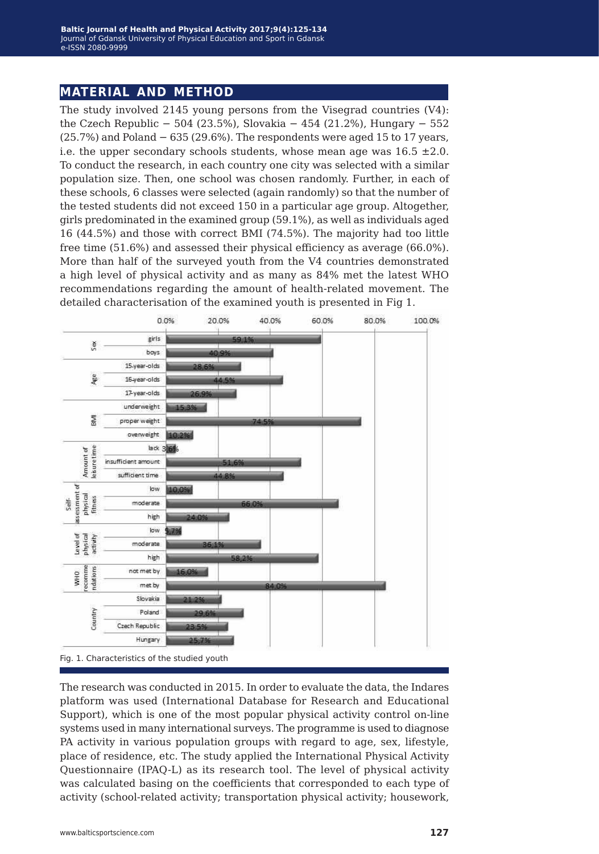#### **material and method**

The study involved 2145 young persons from the Visegrad countries (V4): the Czech Republic − 504 (23.5%), Slovakia − 454 (21.2%), Hungary − 552  $(25.7%)$  and Poland  $-635(29.6%)$ . The respondents were aged 15 to 17 years, i.e. the upper secondary schools students, whose mean age was  $16.5 \pm 2.0$ . To conduct the research, in each country one city was selected with a similar population size. Then, one school was chosen randomly. Further, in each of these schools, 6 classes were selected (again randomly) so that the number of the tested students did not exceed 150 in a particular age group. Altogether, girls predominated in the examined group (59.1%), as well as individuals aged 16 (44.5%) and those with correct BMI (74.5%). The majority had too little free time (51.6%) and assessed their physical efficiency as average (66.0%). More than half of the surveyed youth from the V4 countries demonstrated a high level of physical activity and as many as 84% met the latest WHO recommendations regarding the amount of health-related movement. The detailed characterisation of the examined youth is presented in Fig 1.





The research was conducted in 2015. In order to evaluate the data, the Indares platform was used (International Database for Research and Educational Support), which is one of the most popular physical activity control on-line systems used in many international surveys. The programme is used to diagnose PA activity in various population groups with regard to age, sex, lifestyle, place of residence, etc. The study applied the International Physical Activity Questionnaire (IPAQ-L) as its research tool. The level of physical activity was calculated basing on the coefficients that corresponded to each type of activity (school-related activity; transportation physical activity; housework,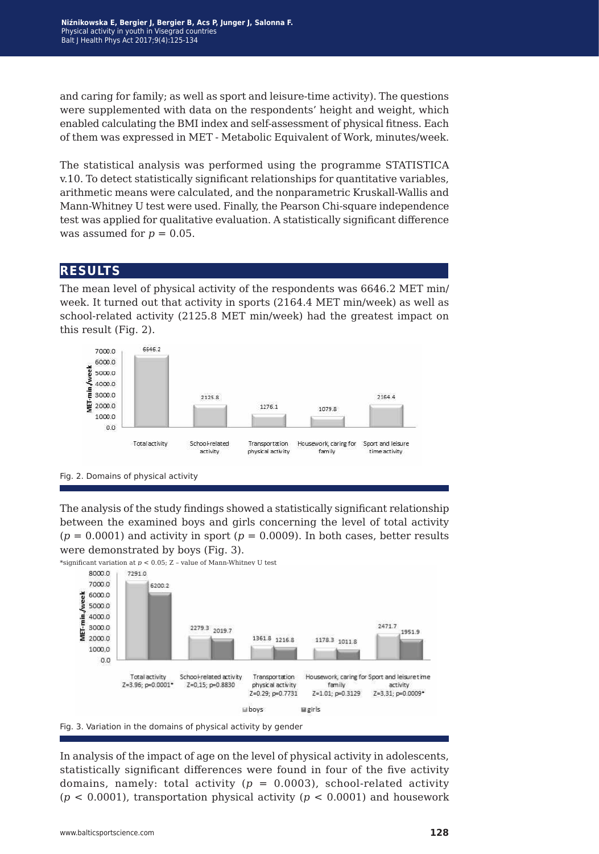and caring for family; as well as sport and leisure-time activity). The questions were supplemented with data on the respondents' height and weight, which enabled calculating the BMI index and self-assessment of physical fitness. Each of them was expressed in MET - Metabolic Equivalent of Work, minutes/week.

The statistical analysis was performed using the programme STATISTICA v.10. To detect statistically significant relationships for quantitative variables, arithmetic means were calculated, and the nonparametric Kruskall-Wallis and Mann-Whitney U test were used. Finally, the Pearson Chi-square independence test was applied for qualitative evaluation. A statistically significant difference was assumed for  $p = 0.05$ .

#### **results**

The mean level of physical activity of the respondents was 6646.2 MET min/ week. It turned out that activity in sports (2164.4 MET min/week) as well as school-related activity (2125.8 MET min/week) had the greatest impact on this result (Fig. 2).



Fig. 2. Domains of physical activity

The analysis of the study findings showed a statistically significant relationship between the examined boys and girls concerning the level of total activity  $(p = 0.0001)$  and activity in sport  $(p = 0.0009)$ . In both cases, better results were demonstrated by boys (Fig. 3).

\*significant variation at  $p < 0.05$ ; Z - value of Mann-Whitney U test



Fig. 3. Variation in the domains of physical activity by gender

In analysis of the impact of age on the level of physical activity in adolescents, statistically significant differences were found in four of the five activity domains, namely: total activity  $(p = 0.0003)$ , school-related activity (*p* < 0.0001), transportation physical activity (*p* < 0.0001) and housework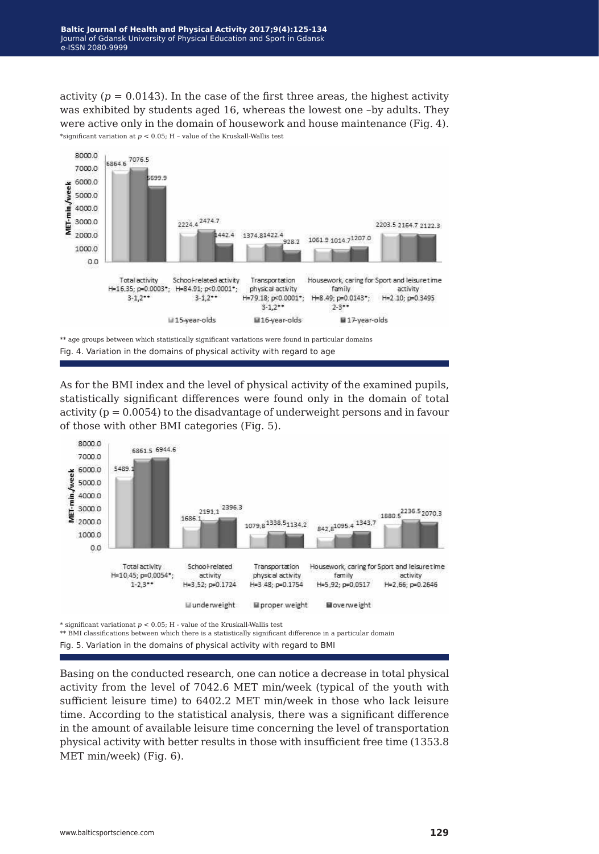activity  $(p = 0.0143)$ . In the case of the first three areas, the highest activity was exhibited by students aged 16, whereas the lowest one –by adults. They were active only in the domain of housework and house maintenance (Fig. 4). \*significant variation at *p* < 0.05; H – value of the Kruskall-Wallis test



Fig. 4. Variation in the domains of physical activity with regard to age

As for the BMI index and the level of physical activity of the examined pupils, statistically significant differences were found only in the domain of total activity ( $p = 0.0054$ ) to the disadvantage of underweight persons and in favour of those with other BMI categories (Fig. 5).



\* significant variationat *p* < 0.05; H - value of the Kruskall-Wallis test

\*\* BMI classifications between which there is a statistically significant difference in a particular domain

Fig. 5. Variation in the domains of physical activity with regard to BMI

Basing on the conducted research, one can notice a decrease in total physical activity from the level of 7042.6 MET min/week (typical of the youth with sufficient leisure time) to 6402.2 MET min/week in those who lack leisure time. According to the statistical analysis, there was a significant difference in the amount of available leisure time concerning the level of transportation physical activity with better results in those with insufficient free time (1353.8 MET min/week) (Fig. 6).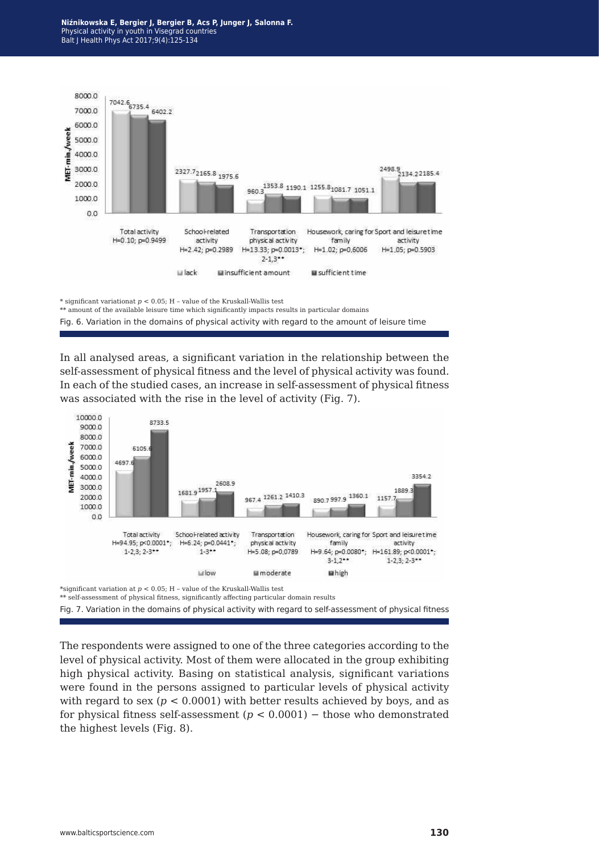**Niźnikowska E, Bergier J, Bergier B, Acs P, Junger J, Salonna F.** Physical activity in youth in Visegrad countries Balt J Health Phys Act 2017;9(4):125-134



\* significant variationat *p* < 0.05; H – value of the Kruskall-Wallis test

\*\* amount of the available leisure time which significantly impacts results in particular domains Fig. 6. Variation in the domains of physical activity with regard to the amount of leisure time

In all analysed areas, a significant variation in the relationship between the

self-assessment of physical fitness and the level of physical activity was found. In each of the studied cases, an increase in self-assessment of physical fitness was associated with the rise in the level of activity (Fig. 7).



\*significant variation at *p* < 0.05; H – value of the Kruskall-Wallis test

\*\* self-assessment of physical fitness, significantly affecting particular domain results

Fig. 7. Variation in the domains of physical activity with regard to self-assessment of physical fitness

The respondents were assigned to one of the three categories according to the level of physical activity. Most of them were allocated in the group exhibiting high physical activity. Basing on statistical analysis, significant variations were found in the persons assigned to particular levels of physical activity with regard to sex ( $p < 0.0001$ ) with better results achieved by boys, and as for physical fitness self-assessment (*p* < 0.0001) − those who demonstrated the highest levels (Fig. 8).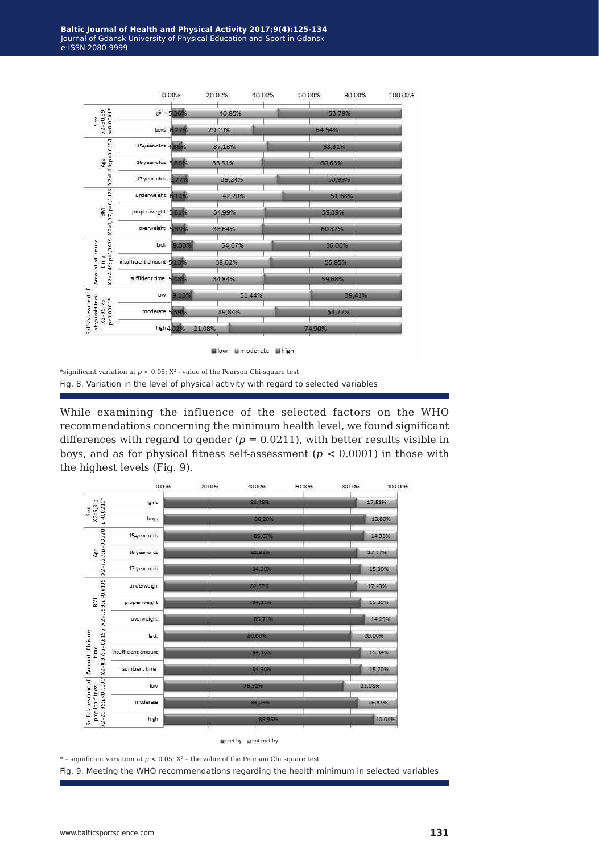|                                                                         |                           | 0.00%        | 20.00% |        | 40.00% | 60.00% |        | 80.00% | 100.00% |
|-------------------------------------------------------------------------|---------------------------|--------------|--------|--------|--------|--------|--------|--------|---------|
| $X2=30,59;$<br>$p<0.0001*$<br>Sex                                       |                           | girls 535%   |        | 40.85% |        | 53,79% |        |        |         |
|                                                                         |                           | boys $6.27%$ |        | 29.19% |        |        | 64,54% |        |         |
| $X2 = 8.83; p = 0.0654$<br>Age                                          | 15-year-olds 4.56%        |              |        | 37,13% |        |        | 58,31% |        |         |
|                                                                         | 16-year-olds 5 86%        |              |        | 33.51% |        |        | 60,63% |        |         |
|                                                                         | 17-year-olds              | 5.77%        |        | 39.24% |        |        | 53,99% |        |         |
| X2=7,37; p=0,1176<br><b>BMI</b>                                         | underweight 6.12%         |              |        | 42.20% |        |        | 51.68% |        |         |
|                                                                         | proper weight 5 61%       |              |        | 34,99% |        |        | 59,39% |        |         |
|                                                                         | overweight                | 5 99%        |        | 33,64% |        |        | 60.37% |        |         |
| 49; p=0,3439<br>Amount of leisure<br>time<br>$X2 = 4$ .                 | lack                      | 9.33%        |        | 34.67% |        |        | 56,00% |        |         |
|                                                                         | insufficient amount 5 13% |              |        | 38,02% |        |        | 56,85% |        |         |
|                                                                         | sufficient time 5.48%     |              | 34,84% |        |        | 59,68% |        |        |         |
| Self-assessment of<br>physical fitness<br>$p<0.0001*$<br>$X2 = 95, 75;$ | low                       | 9,13%        | 51,44% |        |        | 39,42% |        |        |         |
|                                                                         | moderate 539%             |              |        | 39,84% |        |        | 54,77% |        |         |
|                                                                         |                           | high 4 02%   | 21,08% |        |        |        | 74,90% |        |         |

Wlow Mmoderate Mhigh

While examining the influence of the selected factors on the WHO recommendations concerning the minimum health level, we found significant differences with regard to gender  $(p = 0.0211)$ , with better results visible in boys, and as for physical fitness self-assessment (*p* < 0.0001) in those with the highest levels (Fig. 9).



 $*$  – significant variation at  $p < 0.05$ ;  $X^2$  – the value of the Pearson Chi square test

Fig. 9. Meeting the WHO recommendations regarding the health minimum in selected variables

<sup>\*</sup>significant variation at  $p<0.05;$   $\mathbf{X}^2$  - value of the Pearson Chi-square test Fig. 8. Variation in the level of physical activity with regard to selected variables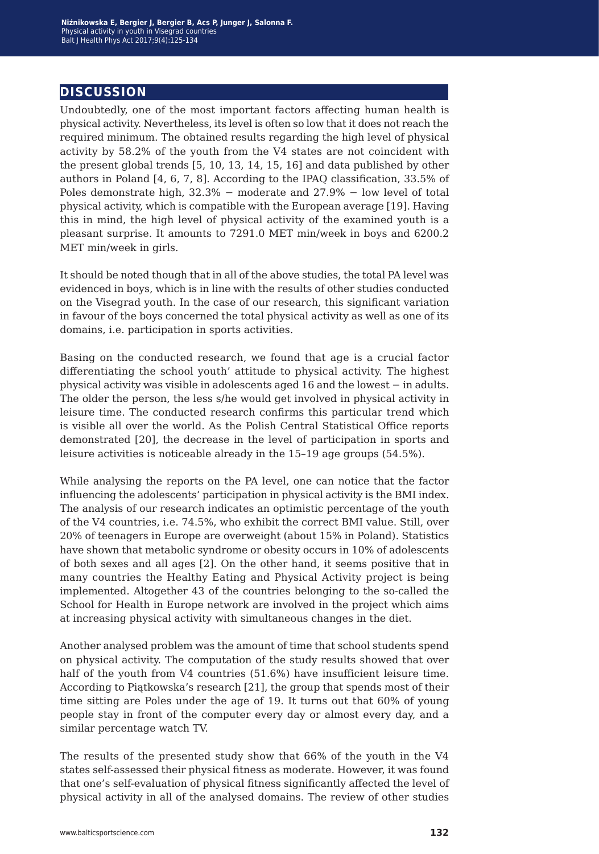### **discussion**

Undoubtedly, one of the most important factors affecting human health is physical activity. Nevertheless, its level is often so low that it does not reach the required minimum. The obtained results regarding the high level of physical activity by 58.2% of the youth from the V4 states are not coincident with the present global trends [5, 10, 13, 14, 15, 16] and data published by other authors in Poland [4, 6, 7, 8]. According to the IPAQ classification, 33.5% of Poles demonstrate high, 32.3% − moderate and 27.9% − low level of total physical activity, which is compatible with the European average [19]. Having this in mind, the high level of physical activity of the examined youth is a pleasant surprise. It amounts to 7291.0 MET min/week in boys and 6200.2 MET min/week in girls.

It should be noted though that in all of the above studies, the total PA level was evidenced in boys, which is in line with the results of other studies conducted on the Visegrad youth. In the case of our research, this significant variation in favour of the boys concerned the total physical activity as well as one of its domains, i.e. participation in sports activities.

Basing on the conducted research, we found that age is a crucial factor differentiating the school youth' attitude to physical activity. The highest physical activity was visible in adolescents aged 16 and the lowest − in adults. The older the person, the less s/he would get involved in physical activity in leisure time. The conducted research confirms this particular trend which is visible all over the world. As the Polish Central Statistical Office reports demonstrated [20], the decrease in the level of participation in sports and leisure activities is noticeable already in the 15–19 age groups (54.5%).

While analysing the reports on the PA level, one can notice that the factor influencing the adolescents' participation in physical activity is the BMI index. The analysis of our research indicates an optimistic percentage of the youth of the V4 countries, i.e. 74.5%, who exhibit the correct BMI value. Still, over 20% of teenagers in Europe are overweight (about 15% in Poland). Statistics have shown that metabolic syndrome or obesity occurs in 10% of adolescents of both sexes and all ages [2]. On the other hand, it seems positive that in many countries the Healthy Eating and Physical Activity project is being implemented. Altogether 43 of the countries belonging to the so-called the School for Health in Europe network are involved in the project which aims at increasing physical activity with simultaneous changes in the diet.

Another analysed problem was the amount of time that school students spend on physical activity. The computation of the study results showed that over half of the youth from V4 countries (51.6%) have insufficient leisure time. According to Piątkowska's research [21], the group that spends most of their time sitting are Poles under the age of 19. It turns out that 60% of young people stay in front of the computer every day or almost every day, and a similar percentage watch TV.

The results of the presented study show that 66% of the youth in the V4 states self-assessed their physical fitness as moderate. However, it was found that one's self-evaluation of physical fitness significantly affected the level of physical activity in all of the analysed domains. The review of other studies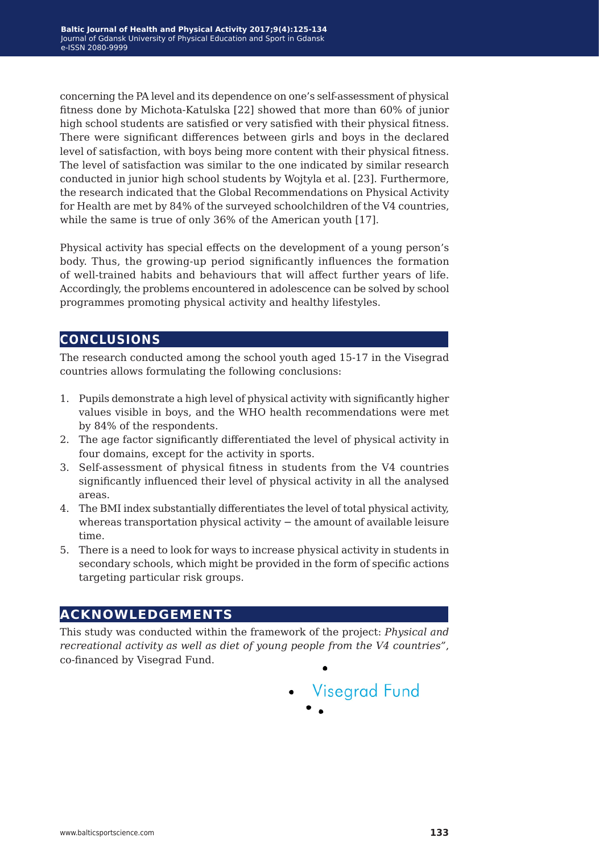concerning the PA level and its dependence on one's self-assessment of physical fitness done by Michota-Katulska [22] showed that more than 60% of junior high school students are satisfied or very satisfied with their physical fitness. There were significant differences between girls and boys in the declared level of satisfaction, with boys being more content with their physical fitness. The level of satisfaction was similar to the one indicated by similar research conducted in junior high school students by Wojtyla et al. [23]. Furthermore, the research indicated that the Global Recommendations on Physical Activity for Health are met by 84% of the surveyed schoolchildren of the V4 countries, while the same is true of only 36% of the American youth [17].

Physical activity has special effects on the development of a young person's body. Thus, the growing-up period significantly influences the formation of well-trained habits and behaviours that will affect further years of life. Accordingly, the problems encountered in adolescence can be solved by school programmes promoting physical activity and healthy lifestyles.

## **conclusions**

The research conducted among the school youth aged 15-17 in the Visegrad countries allows formulating the following conclusions:

- 1. Pupils demonstrate a high level of physical activity with significantly higher values visible in boys, and the WHO health recommendations were met by 84% of the respondents.
- 2. The age factor significantly differentiated the level of physical activity in four domains, except for the activity in sports.
- 3. Self-assessment of physical fitness in students from the V4 countries significantly influenced their level of physical activity in all the analysed areas.
- 4. The BMI index substantially differentiates the level of total physical activity, whereas transportation physical activity − the amount of available leisure time.
- 5. There is a need to look for ways to increase physical activity in students in secondary schools, which might be provided in the form of specific actions targeting particular risk groups.

## **acknowledgements**

This study was conducted within the framework of the project: *Physical and recreational activity as well as diet of young people from the V4 countries"*, co-financed by Visegrad Fund.